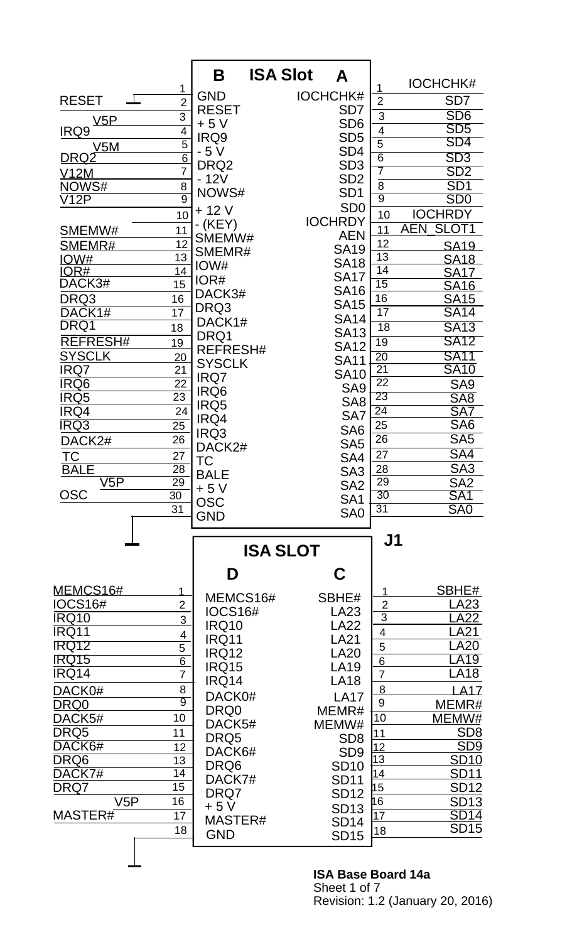|                          |                 | Β                | <b>ISA Slot</b><br>A |                         |                                 |
|--------------------------|-----------------|------------------|----------------------|-------------------------|---------------------------------|
|                          | 1               |                  |                      | 1                       | <b>IOCHCHK#</b>                 |
| <b>RESET</b>             | $\overline{2}$  | <b>GND</b>       | <b>IOCHCHK#</b>      | $\overline{2}$          | SD <sub>7</sub>                 |
|                          | $\overline{3}$  | <b>RESET</b>     | SD <sub>7</sub>      | $\overline{3}$          | SD <sub>6</sub>                 |
| <u>V5P</u><br>IRQ9       | 4               | $+5V$            | SD <sub>6</sub>      | $\overline{\mathbf{4}}$ | SD <sub>5</sub>                 |
|                          | $\overline{5}$  | IRQ9             | SD <sub>5</sub>      | $\overline{5}$          | SD4                             |
| V5M<br><u>DRQ2</u>       | $\overline{6}$  | $-5V$            | SD <sub>4</sub>      | $\overline{6}$          | SD <sub>3</sub>                 |
|                          | $\overline{7}$  | DRQ <sub>2</sub> | SD <sub>3</sub>      | 7                       | SD <sub>2</sub>                 |
| <u>V12M</u><br>NOWS#     | 8               | $-12V$           | SD <sub>2</sub>      | $\overline{8}$          | SD <sub>1</sub>                 |
| $\overline{\text{V12P}}$ | $\overline{9}$  | NOWS#            | SD <sub>1</sub>      | $\overline{9}$          | SD <sub>0</sub>                 |
|                          | 10              | $+12V$           | SD <sub>0</sub>      | 10                      | <b>IOCHRDY</b>                  |
|                          |                 | $-KEY)$          | <b>IOCHRDY</b>       |                         | <b>AEN</b><br>SLOT <sub>1</sub> |
| SMEMW#                   | 11              | SMEMW#           | <b>AEN</b>           | 11                      |                                 |
| SMEMR#                   | 12              | SMEMR#           | <b>SA19</b>          | 12<br>13                | <b>SA19</b>                     |
| <u>IOW#</u><br>IOR#      | 13<br>14        | IOW#             | <b>SA18</b>          | 14                      | <b>SA18</b>                     |
| DACK3#                   | 15              | IOR#             | <b>SA17</b>          | 15                      | <b>SA17</b>                     |
|                          | 16              | DACK3#           | <b>SA16</b>          | 16                      | <b>SA16</b>                     |
| DRQ3<br>DACK1#           | 17              | DRQ3             | <b>SA15</b>          | 17                      | <b>SA15</b><br><b>SA14</b>      |
| DRQ1                     |                 | DACK1#           | <b>SA14</b>          |                         |                                 |
|                          | 18              | DRQ1             | <b>SA13</b>          | 18                      | <b>SA13</b>                     |
| <b>REFRESH#</b>          | 19              | <b>REFRESH#</b>  | <b>SA12</b>          | $\overline{19}$         | <b>SA12</b>                     |
| <b>SYSCLK</b>            | 20              | <b>SYSCLK</b>    | <b>SA11</b>          | $\overline{20}$         | <b>SA11</b>                     |
| IRQ7                     | 21              | IRQ7             | <b>SA10</b>          | $\overline{21}$         | <b>SA10</b>                     |
| <b>IRQ6</b>              | 22              | IRQ6             | SA <sub>9</sub>      | $\overline{22}$         | SA <sub>9</sub>                 |
| IRQ5                     | $\overline{23}$ | IRQ5             | SA <sub>8</sub>      | 23                      | SA <sub>8</sub>                 |
| IRQ4                     | 24              | IRQ4             | SA7                  | $\overline{24}$         | SA7                             |
| <b>IRQ3</b>              | $\overline{25}$ | IRQ3             | SA <sub>6</sub>      | 25                      | SA <sub>6</sub>                 |
| DACK2#                   | 26              | DACK2#           | SA <sub>5</sub>      | 26                      | SA <sub>5</sub>                 |
| ТC                       | 27              | <b>TC</b>        | SA4                  | 27                      | SA4                             |
| <b>BALE</b>              | $\overline{28}$ | <b>BALE</b>      | SA <sub>3</sub>      | 28                      | SA <sub>3</sub>                 |
| V5P                      | 29              | $+5V$            | SA <sub>2</sub>      | 29                      | SA2                             |
| OSC                      | $\overline{30}$ | <b>OSC</b>       | SA <sub>1</sub>      | 30                      | SA <sub>1</sub>                 |
|                          | 31              | <b>GND</b>       | SA <sub>0</sub>      | 31                      | SA <sub>0</sub>                 |
|                          |                 |                  |                      |                         |                                 |
|                          |                 |                  | <b>ISA SLOT</b>      | J <sub>1</sub>          |                                 |
|                          |                 |                  |                      |                         |                                 |
|                          |                 | D                | C                    |                         |                                 |
| <u>MEMCS16#</u>          | 1               | MEMCS16#         | SBHE#                | 1                       | SBHE#                           |
| <b>IOCS16#</b>           | $\overline{2}$  | <b>IOCS16#</b>   | LA23                 | $\overline{2}$          | LA23                            |
| <b>IRQ10</b>             | 3               | <b>IRQ10</b>     | <b>LA22</b>          | $\overline{3}$          | A22.                            |
| IRQ11                    | 4               | <b>IRQ11</b>     | <b>LA21</b>          | $\overline{\mathbf{4}}$ | <b>LA21</b>                     |
| IRQ12                    | $\overline{5}$  | <b>IRQ12</b>     | <b>LA20</b>          | 5                       | <b>LA20</b>                     |
| IRQ15                    | $\overline{6}$  | <b>IRQ15</b>     | <b>LA19</b>          | $6\phantom{1}6$         | <b>LA19</b>                     |
| IRQ14                    | $\overline{7}$  | IRQ14            | <b>LA18</b>          | $\overline{7}$          | LA18                            |
| DACK0#                   | 8               | DACK0#           | <b>LA17</b>          | 8                       | <b>LA17</b>                     |
| <u>DRQ0</u>              | $\overline{9}$  | DRQ0             | MEMR#                | 9                       | MEMR#                           |
| DACK5#                   | 10              | DACK5#           | MEMW#                | 10                      | MEMW#                           |
| DRQ5                     | 11              | DRQ5             | SD <sub>8</sub>      | 11                      | SD <sub>8</sub>                 |
| DACK6#                   | 12              | DACK6#           | SD <sub>9</sub>      | <u>12</u>               | SD9                             |
| DRQ6                     | 13              | DRQ6             | <b>SD10</b>          | $\overline{13}$         | <b>SD10</b>                     |
| DACK7#                   | 14              | DACK7#           | <b>SD11</b>          | 14                      | <b>SD11</b>                     |
| DRQ7                     |                 |                  |                      | 15                      | <b>SD12</b>                     |
|                          | 15              |                  |                      |                         |                                 |
| V5P                      | 16              | DRQ7             | <b>SD12</b>          | 16                      | <b>SD13</b>                     |
| MASTER#                  | $\overline{17}$ | + 5 V            | <b>SD13</b>          | 17                      | <b>SD14</b>                     |
|                          | 18              | MASTER#          | <b>SD14</b>          | 18                      | <b>SD15</b>                     |
|                          |                 | <b>GND</b>       | <b>SD15</b>          |                         |                                 |

## **ISA Base Board 14a** Sheet 1 of 7 Revision: 1.2 (January 20, 2016)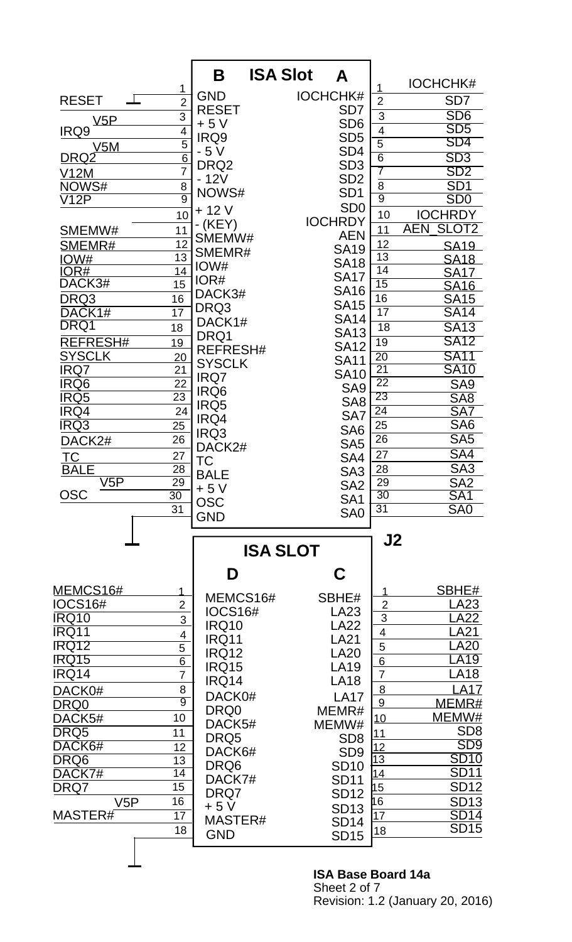|                                |                                  | Β                | <b>ISA Slot</b><br>Α |                                    |                                                  |
|--------------------------------|----------------------------------|------------------|----------------------|------------------------------------|--------------------------------------------------|
|                                | 1                                |                  |                      | 1                                  | <b>IOCHCHK#</b>                                  |
| <b>RESET</b><br>$\mathbb{R}^2$ | $\overline{2}$                   | <b>GND</b>       | <b>IOCHCHK#</b>      | $\overline{2}$                     | SD <sub>7</sub>                                  |
| <u>V5P</u>                     | $\overline{3}$                   | <b>RESET</b>     | SD <sub>7</sub>      | $\overline{3}$                     | SD <sub>6</sub>                                  |
| IRQ9                           | $\overline{4}$                   | $+5V$            | SD <sub>6</sub>      | $\overline{\mathbf{4}}$            | SD <sub>5</sub>                                  |
| V5M                            | $\overline{5}$                   | IRQ9             | SD <sub>5</sub>      | $\overline{5}$                     | SD4                                              |
| <u>DRQ2</u>                    | $\overline{6}$                   | - 5 V            | SD <sub>4</sub>      | $\overline{6}$                     | SD3                                              |
| <u>V12M</u>                    | $\overline{7}$                   | DRQ <sub>2</sub> | SD <sub>3</sub>      | 7                                  | SD <sub>2</sub>                                  |
| NOWS#                          | 8                                | $-12V$           | SD <sub>2</sub>      | $\overline{8}$                     | SD <sub>1</sub>                                  |
| $\overline{\text{V12P}}$       | $\overline{9}$                   | NOWS#            | SD <sub>1</sub>      | $\overline{9}$                     | SD <sub>0</sub>                                  |
|                                | 10                               | $+12V$           | SD <sub>0</sub>      | 10                                 | <b>IOCHRDY</b>                                   |
| SMEMW#                         | 11                               | (KEY)            | <b>IOCHRDY</b>       | 11                                 | SLOT <sub>2</sub><br><b>AEN</b>                  |
| SMEMR#                         | 12                               | SMEMW#           | <b>AEN</b>           | 12                                 |                                                  |
| <u>IOW#</u>                    | 13                               | SMEMR#           | <b>SA19</b>          | 13                                 | <b>SA19</b><br><b>SA18</b>                       |
| IOR#                           | 14                               | IOW#             | <b>SA18</b>          | $\overline{14}$                    | <b>SA17</b>                                      |
| DACK3#                         | 15                               | IOR#             | <b>SA17</b>          | 15                                 | <b>SA16</b>                                      |
| DRQ3                           | 16                               | DACK3#           | <b>SA16</b>          | 16                                 | <b>SA15</b>                                      |
| DACK1#                         | 17                               | DRQ3             | <b>SA15</b>          | 17                                 | <b>SA14</b>                                      |
| DRQ1                           | 18                               | DACK1#           | <b>SA14</b>          | 18                                 | <b>SA13</b>                                      |
| REFRESH#                       | 19                               | DRQ1             | <b>SA13</b>          | $\overline{19}$                    | <b>SA12</b>                                      |
| <b>SYSCLK</b>                  |                                  | <b>REFRESH#</b>  | <b>SA12</b>          |                                    | <b>SA11</b>                                      |
| IRQ7                           | 20<br>21                         | <b>SYSCLK</b>    | <b>SA11</b>          | $\overline{20}$<br>$\overline{21}$ | <b>SA10</b>                                      |
| <b>IRQ6</b>                    | $\overline{22}$                  | IRQ7             | <b>SA10</b>          | $\overline{22}$                    |                                                  |
| IRQ5                           | $\overline{23}$                  | IRQ6             | SA <sub>9</sub>      | 23                                 | SA <sub>9</sub><br>SA <sub>8</sub>               |
| IRQ4                           | 24                               | IRQ5             | SA <sub>8</sub>      | $\overline{24}$                    | SA7                                              |
| <b>IRQ3</b>                    | $\overline{25}$                  | IRQ4             | SA7                  | 25                                 | SA <sub>6</sub>                                  |
|                                | 26                               | IRQ3             | SA <sub>6</sub>      | 26                                 | SA <sub>5</sub>                                  |
| DACK2#                         |                                  | DACK2#           | SA <sub>5</sub>      |                                    |                                                  |
| ТC                             | 27                               | TC               | SA4                  | 27                                 | SA4<br>$\overline{\text{S}}\overline{\text{A}}3$ |
| <b>BALE</b><br>V5P             | $\overline{28}$<br>29            | <b>BALE</b>      | SA <sub>3</sub>      | 28<br>29                           | SA2                                              |
| <b>OSC</b>                     | $\overline{30}$                  | $+5V$            | SA <sub>2</sub>      | 30                                 | SA <sub>1</sub>                                  |
|                                | 31                               | <b>OSC</b>       | SA <sub>1</sub>      | $\overline{31}$                    | SA <sub>0</sub>                                  |
|                                |                                  | <b>GND</b>       | SA <sub>0</sub>      |                                    |                                                  |
|                                |                                  |                  |                      | J2                                 |                                                  |
|                                |                                  |                  | <b>ISA SLOT</b>      |                                    |                                                  |
|                                |                                  | D                | C                    |                                    |                                                  |
| <u>MEMCS16#</u>                |                                  |                  |                      |                                    | SBHE#                                            |
| <b>IOCS16#</b>                 | $\overline{2}$                   | MEMCS16#         | SBHE#                | $\overline{2}$                     | LA23                                             |
| <b>IRQ10</b>                   | 3                                | <b>IOCS16#</b>   | LA23                 | $\overline{3}$                     | .A22                                             |
| IRQ11                          |                                  | <b>IRQ10</b>     | <b>LA22</b>          | $\overline{\mathbf{4}}$            | LA21                                             |
| <b>IRQ12</b>                   | 4                                | IRQ11            | <b>LA21</b>          | 5                                  | <b>A20</b>                                       |
| IRQ15                          | $\overline{5}$<br>$\overline{6}$ | <b>IRQ12</b>     | <b>LA20</b>          | $6\phantom{1}6$                    | LA19                                             |
| IRQ14                          | $\overline{7}$                   | <b>IRQ15</b>     | <b>LA19</b>          | $\overline{7}$                     | <b>LA18</b>                                      |
|                                |                                  | IRQ14            | <b>LA18</b>          | 8                                  | <b>LA17</b>                                      |
| DACK0#                         | 8<br>$\overline{9}$              | DACK0#           | <b>LA17</b>          | 9                                  |                                                  |
| DRQ0                           |                                  | DRQ0             | MEMR#                |                                    | MEMR#                                            |
| DACK5#                         | 10                               | DACK5#           | MEMW#                | 10                                 | MEMW#                                            |
| DRQ5                           | 11                               | DRQ5             | SD <sub>8</sub>      | 11                                 | SD <sub>8</sub><br>SD9                           |
| DACK6#                         | 12                               | DACK6#           | SD <sub>9</sub>      | <u>12</u><br>13                    |                                                  |
| DRQ6                           | 13                               | DRQ6             | <b>SD10</b>          |                                    | <b>SD10</b>                                      |
| DACK7#                         | $\overline{14}$                  | DACK7#           | <b>SD11</b>          | 14<br>15                           | <b>SD11</b>                                      |
| DRQ7                           | 15                               | DRQ7             | <b>SD12</b>          |                                    | <b>SD12</b>                                      |
| V5P                            | 16                               | $+5V$            | <b>SD13</b>          | 16                                 | <b>SD13</b><br>SD14                              |
| MASTER#                        | 17                               | MASTER#          | <b>SD14</b>          | 17                                 | <b>SD15</b>                                      |
|                                |                                  |                  |                      |                                    |                                                  |
|                                | 18                               | <b>GND</b>       | <b>SD15</b>          | 18                                 |                                                  |
|                                |                                  |                  |                      |                                    |                                                  |

## **ISA Base Board 14a** Sheet 2 of 7 Revision: 1.2 (January 20, 2016)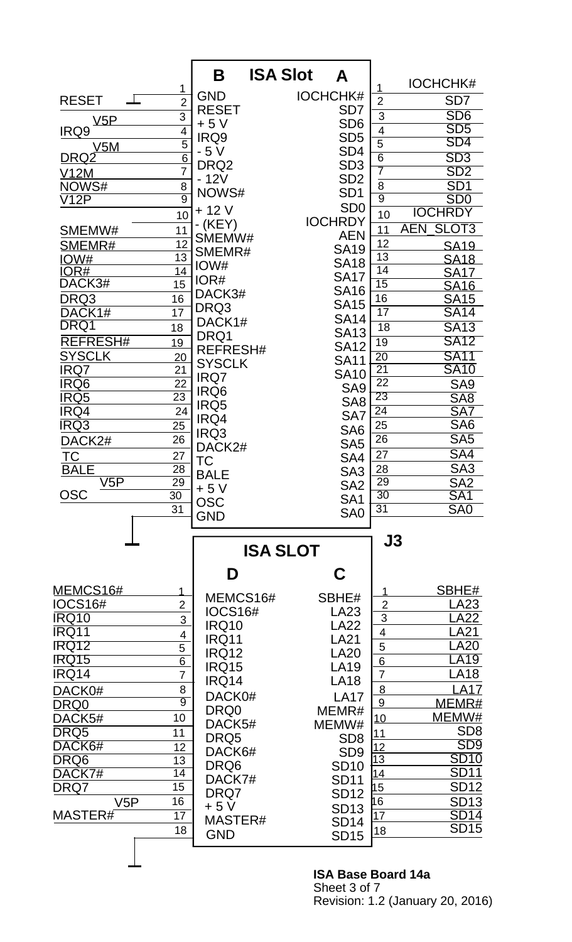|                          |                 | Β                | <b>ISA Slot</b><br>Α |                         |                                 |
|--------------------------|-----------------|------------------|----------------------|-------------------------|---------------------------------|
|                          | 1               |                  |                      | 1                       | <b>IOCHCHK#</b>                 |
| <b>RESET</b><br>$\bot$   | $\overline{2}$  | <b>GND</b>       | <b>IOCHCHK#</b>      | $\overline{2}$          | SD <sub>7</sub>                 |
|                          | $\overline{3}$  | <b>RESET</b>     | SD <sub>7</sub>      | $\overline{3}$          | SD <sub>6</sub>                 |
| <u>V5P</u><br>IRQ9       | 4               | $+5V$            | SD <sub>6</sub>      |                         | SD <sub>5</sub>                 |
|                          | $\overline{5}$  | IRQ9             | SD <sub>5</sub>      | $\frac{4}{5}$           | SD4                             |
| V5M<br><u>DRQ2</u>       | $\overline{6}$  | $-5V$            | SD <sub>4</sub>      | $\overline{6}$          | SD <sub>3</sub>                 |
|                          | $\overline{7}$  | DRQ <sub>2</sub> | SD <sub>3</sub>      | 7                       | SD <sub>2</sub>                 |
| <b>V12M</b><br>NOWS#     | 8               | $-12V$           | SD <sub>2</sub>      | $\overline{8}$          | SD <sub>1</sub>                 |
| $\overline{\text{V12P}}$ | $\overline{9}$  | NOWS#            | SD <sub>1</sub>      | $\overline{9}$          | SD <sub>0</sub>                 |
|                          | 10              | $+12V$           | SD <sub>0</sub>      | 10                      | <b>IOCHRDY</b>                  |
|                          |                 | $-KEY)$          | <b>IOCHRDY</b>       |                         | SLOT <sub>3</sub><br><b>AEN</b> |
| SMEMW#                   | 11              | SMEMW#           | <b>AEN</b>           | 11                      |                                 |
| SMEMR#                   | 12              | SMEMR#           | <b>SA19</b>          | 12                      | <b>SA19</b>                     |
| <u>IOW#</u>              | 13              | IOW#             | <b>SA18</b>          | 13<br>$\overline{14}$   | <b>SA18</b>                     |
| IOR#<br>DACK3#           | 14              | IOR#             | <b>SA17</b>          | $\overline{15}$         | <b>SA17</b>                     |
|                          | 15              | DACK3#           | <b>SA16</b>          |                         | <b>SA16</b>                     |
| DRQ3                     | 16              | DRQ3             | <b>SA15</b>          | 16                      | <b>SA15</b>                     |
| DACK1#                   | 17              | DACK1#           | <b>SA14</b>          | 17                      | <b>SA14</b>                     |
| DRQ1                     | 18              | DRQ1             | <b>SA13</b>          | 18                      | <b>SA13</b>                     |
| <b>REFRESH#</b>          | 19              | <b>REFRESH#</b>  | <b>SA12</b>          | 19                      | <b>SA12</b>                     |
| <b>SYSCLK</b>            | 20              | <b>SYSCLK</b>    | <b>SA11</b>          | $\overline{20}$         | <b>SA11</b>                     |
| IRQ7                     | 21              | IRQ7             | <b>SA10</b>          | $\overline{21}$         | <b>SA10</b>                     |
| IRQ6                     | 22              | IRQ6             | SA <sub>9</sub>      | $\overline{22}$         | SA <sub>9</sub>                 |
| IRQ5                     | $\overline{23}$ | IRQ5             | SA <sub>8</sub>      | 23                      | SA <sub>8</sub>                 |
| IRQ4                     | 24              | IRQ4             | SA7                  | $\overline{24}$         | SA7                             |
| <b>IRQ3</b>              | $\overline{25}$ | IRQ3             | SA <sub>6</sub>      | 25                      | SA <sub>6</sub>                 |
| DACK2#                   | 26              | DACK2#           | SA <sub>5</sub>      | 26                      | SA <sub>5</sub>                 |
| ТC                       | 27              | <b>TC</b>        | SA4                  | 27                      | SA4                             |
| <b>BALE</b>              | $\overline{28}$ | <b>BALE</b>      | SA <sub>3</sub>      | 28                      | SA <sub>3</sub>                 |
| V5P                      | 29              | $+5V$            | SA <sub>2</sub>      | 29                      | SA2                             |
| OSC                      | $\overline{30}$ | <b>OSC</b>       | SA <sub>1</sub>      | $\overline{30}$         | SA <sub>1</sub>                 |
|                          | 31              | <b>GND</b>       | SA <sub>0</sub>      | 31                      | SA <sub>0</sub>                 |
|                          |                 |                  |                      |                         |                                 |
|                          |                 |                  |                      | J3                      |                                 |
|                          |                 |                  | <b>ISA SLOT</b>      |                         |                                 |
|                          |                 | D                | C                    |                         |                                 |
| <u>MEMCS16#</u>          | 1               |                  |                      |                         | SBHE#                           |
| <b>IOCS16#</b>           | $\overline{2}$  | MEMCS16#         | SBHE#                | $\overline{2}$          | LA23                            |
| <b>IRQ10</b>             | 3               | <b>IOCS16#</b>   | LA23                 | $\overline{3}$          | .A22                            |
| IRQ11                    | 4               | <b>IRQ10</b>     | <b>LA22</b>          | $\overline{\mathbf{4}}$ | <b>LA21</b>                     |
| <b>IRQ12</b>             | 5               | IRQ11            | <b>LA21</b>          | 5                       | <b>LA20</b>                     |
| <b>IRQ15</b>             | $\overline{6}$  | <b>IRQ12</b>     | <b>LA20</b>          | $6\phantom{1}6$         | <b>LA19</b>                     |
| IRQ14                    | $\overline{7}$  | <b>IRQ15</b>     | <b>LA19</b>          | $\overline{7}$          | <b>LA18</b>                     |
| DACK0#                   | 8               | IRQ14            | <b>LA18</b>          | 8                       | $A1\overline{7}$                |
| DRQ0                     | $\overline{9}$  | DACK0#           | <b>LA17</b>          | 9                       | MEMR#                           |
| DACK5#                   | 10              | DRQ0             | MEMR#                | 10                      | MEMW#                           |
| DRQ5                     | 11              | DACK5#           | MEMW#                | 11                      | SD <sub>8</sub>                 |
| DACK6#                   | 12              | DRQ5             | SD <sub>8</sub>      |                         | SD9                             |
| DRQ6                     | 13              | DACK6#           | SD <sub>9</sub>      | $\frac{12}{13}$         | <b>SD10</b>                     |
| DACK7#                   | 14              | DRQ6             | <b>SD10</b>          | 14                      | SD <sub>11</sub>                |
| DRQ7                     | 15              | DACK7#           | <b>SD11</b>          | 15                      | <b>SD12</b>                     |
| V5P                      | 16              | DRQ7             | <b>SD12</b>          | 16                      | <b>SD13</b>                     |
| MASTER#                  | 17              | $+5V$            | <b>SD13</b>          | 17                      | SD14                            |
|                          | 18              | MASTER#          | <b>SD14</b>          | 18                      | <b>SD15</b>                     |
|                          |                 | <b>GND</b>       | <b>SD15</b>          |                         |                                 |
|                          |                 |                  |                      |                         |                                 |

## **ISA Base Board 14a** Sheet 3 of 7 Revision: 1.2 (January 20, 2016)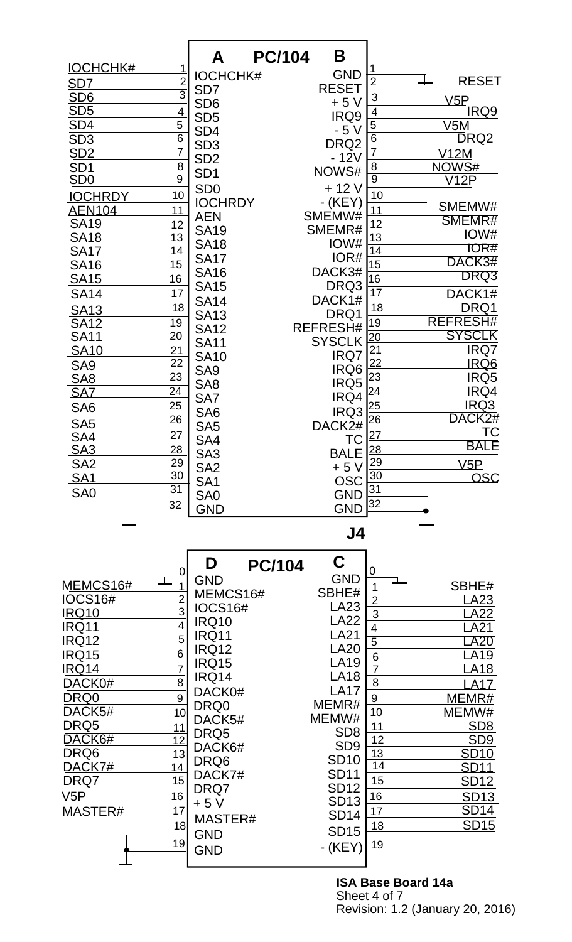|                         |                 | A                            | B<br><b>PC/104</b> |                                                          |                                   |
|-------------------------|-----------------|------------------------------|--------------------|----------------------------------------------------------|-----------------------------------|
| <b>IOCHCHK#</b>         | 1               |                              |                    | 1                                                        |                                   |
| SD <sub>7</sub>         | $rac{2}{3}$     | <b>IOCHCHK#</b>              | <b>GND</b>         | $\overline{2}$                                           | <b>RESET</b>                      |
| SD6                     |                 | SD <sub>7</sub>              | <b>RESET</b>       | 3                                                        | V5P                               |
| SD <sub>5</sub>         | 4               | SD <sub>6</sub>              | $+5V$              | 4                                                        | IRQ9                              |
| SD <sub>4</sub>         | 5               | SD <sub>5</sub>              | IRQ9               | 5                                                        | V5M                               |
| SD3                     | $\overline{6}$  | SD <sub>4</sub>              | - 5 V              | $\overline{6}$                                           | <b>DRQ2</b>                       |
| SD2                     | $\overline{7}$  | SD <sub>3</sub>              | DRQ <sub>2</sub>   | $\overline{7}$                                           | V12M                              |
| <u>SD1</u>              | 8               | SD <sub>2</sub>              | $-12V$             |                                                          | NOWS#                             |
| SDO                     | $\overline{9}$  | SD <sub>1</sub>              | NOWS#              | $\frac{8}{9}$                                            | $\overline{\text{V12P}}$          |
| <b>IOCHRDY</b>          | 10              | SD <sub>0</sub>              | $+12V$             | 10                                                       |                                   |
| <u>AEN104</u>           | 11              | <b>IOCHRDY</b>               | $-KEY$             | 11                                                       | SMEMW#                            |
| <b>SA19</b>             | 12              | <b>AEN</b>                   | SMEMW#             | 12                                                       | SMEMR#                            |
| <b>SA18</b>             | 13              | <b>SA19</b>                  | SMEMR#             | 13                                                       | IOW#                              |
| <b>SA17</b>             | 14              | <b>SA18</b>                  | IOW#               | $\overline{14}$                                          | <b>IOR#</b>                       |
| <b>SA16</b>             | 15              | <b>SA17</b>                  | IOR#               | 15                                                       | DACK3#                            |
| <b>SA15</b>             | 16              | <b>SA16</b>                  | DACK3#             | $\overline{16}$                                          | DRQ3                              |
|                         | 17              | <b>SA15</b>                  | DRQ3               | 17                                                       | DACK1#                            |
| <b>SA14</b>             | 18              | <b>SA14</b>                  | DACK1#             | 18                                                       |                                   |
| <b>SA13</b>             |                 | <b>SA13</b>                  | DRQ1               |                                                          | DRQ1                              |
| <b>SA12</b>             | 19              | <b>SA12</b>                  | REFRESH#           | 19                                                       | <b>REFRESH#</b>                   |
| $\overline{SA11}$       | 20              | <b>SA11</b>                  | <b>SYSCLK</b>      | $\overline{20}$                                          | <b>SYSCLK</b>                     |
| <b>SA10</b>             | 21              | <b>SA10</b>                  | IRQ7               | 21                                                       | IRQ7                              |
| SA9<br>SA8              | $\overline{22}$ | SA <sub>9</sub>              | IRQ6               | $\overline{22}$                                          | IRQ6                              |
|                         | $\overline{23}$ | SA <sub>8</sub>              | IRQ5               | 23                                                       | IRQ <sub>5</sub>                  |
| <b>SAZ</b>              | $\overline{24}$ | SA7                          | IRQ4               | 24                                                       | IRQ4                              |
| SA <sub>6</sub>         | 25              | SA <sub>6</sub>              | IRQ3               | $\overline{25}$                                          | <b>IRQ3</b><br>DACK <sub>2#</sub> |
| SA <sub>5</sub>         | 26              | SA <sub>5</sub>              | DACK2#             | $\overline{26}$                                          | ТC                                |
| SA4                     | 27              | SA4                          | ТC                 | $\overline{27}$                                          | <b>BALE</b>                       |
| $\overline{\text{SA3}}$ | $\frac{28}{29}$ | SA <sub>3</sub>              | <b>BALE</b>        | $\begin{array}{ c c }\n 28 \\ \hline\n 29\n \end{array}$ |                                   |
| <b>SA2</b>              | 30              | SA <sub>2</sub>              | $+5V$              | $\overline{30}$                                          | V5P                               |
| <u>SA1</u>              | $\overline{31}$ | SA <sub>1</sub>              | <b>OSC</b>         | 31                                                       | <b>OSC</b>                        |
| SA <sub>0</sub>         | 32              | SA0                          | <b>GND</b>         | 32                                                       |                                   |
|                         |                 | <b>GND</b>                   | <b>GND</b>         |                                                          |                                   |
|                         |                 |                              | J4                 |                                                          |                                   |
|                         |                 | D                            | C.                 |                                                          |                                   |
|                         | $\overline{0}$  | <b>PC/104</b>                | <b>GND</b>         | 0                                                        |                                   |
| <u>MEMCS16#</u>         | $\overline{1}$  | <b>GND</b>                   | SBHE#              |                                                          | SBHE#                             |
| <b>IOCS16#</b>          | $\frac{2}{3}$   | MEMCS16#                     | LA23               | $\overline{2}$                                           | LA23                              |
| <u>IRQ10</u>            |                 | <b>IOCS16#</b>               | <b>LA22</b>        | 3                                                        | <b>LA22</b>                       |
| IRQ11                   | $\overline{4}$  | <b>IRQ10</b>                 | <b>LA21</b>        | 4                                                        | LA21                              |
| <b>IRQ12</b>            | $\overline{5}$  | <b>IRQ11</b><br><b>IRQ12</b> | <b>LA20</b>        | $\overline{5}$                                           | <b>_A20</b>                       |
| <b>IRQ15</b>            | $\overline{6}$  | <b>IRQ15</b>                 | <b>LA19</b>        | $6\phantom{1}6$                                          | LA19                              |
| IRQ14                   | $\overline{7}$  | <b>IRQ14</b>                 | <b>LA18</b>        | $\overline{7}$                                           | A18                               |
| DACK0#                  | $\overline{8}$  |                              | <b>LA17</b>        | $\overline{8}$                                           | <b>LA17</b>                       |
| DRQ0                    | $\overline{9}$  | DACK0#<br>DRQ0               | MEMR#              | $9$                                                      | MEMR#                             |
| DACK5#                  | 10              | DACK5#                       | MEMW#              | 10                                                       | MEMW#                             |
| DRQ5                    | 11              | DRQ5                         | SD <sub>8</sub>    | 11                                                       | SD <sub>8</sub>                   |
| DACK6#                  | 12              | DACK6#                       | SD <sub>9</sub>    | 12                                                       | SD <sub>9</sub>                   |
| DRQ6                    | 13              | DRQ6                         | <b>SD10</b>        | 13                                                       | <b>SD10</b>                       |
| DACK7#                  | 14              | DACK7#                       | <b>SD11</b>        | 14                                                       | <b>SD11</b>                       |
| DRQ7                    | 15              | DRQ7                         | <b>SD12</b>        | 15                                                       | SD <sub>12</sub>                  |
| V5P                     | 16              | $+5V$                        | <b>SD13</b>        | 16                                                       | <b>SD13</b>                       |
| MASTER#                 | 17              | MASTER#                      | <b>SD14</b>        | 17                                                       | SD <sub>14</sub>                  |
|                         | 18              |                              | <b>SD15</b>        | <u>18</u>                                                | <b>SD15</b>                       |
|                         | 19              | <b>GND</b>                   | $-KEY$             | 19                                                       |                                   |
|                         |                 | <b>GND</b>                   |                    |                                                          |                                   |
|                         |                 |                              |                    |                                                          |                                   |

**ISA Base Board 14a** Sheet 4 of 7 Revision: 1.2 (January 20, 2016)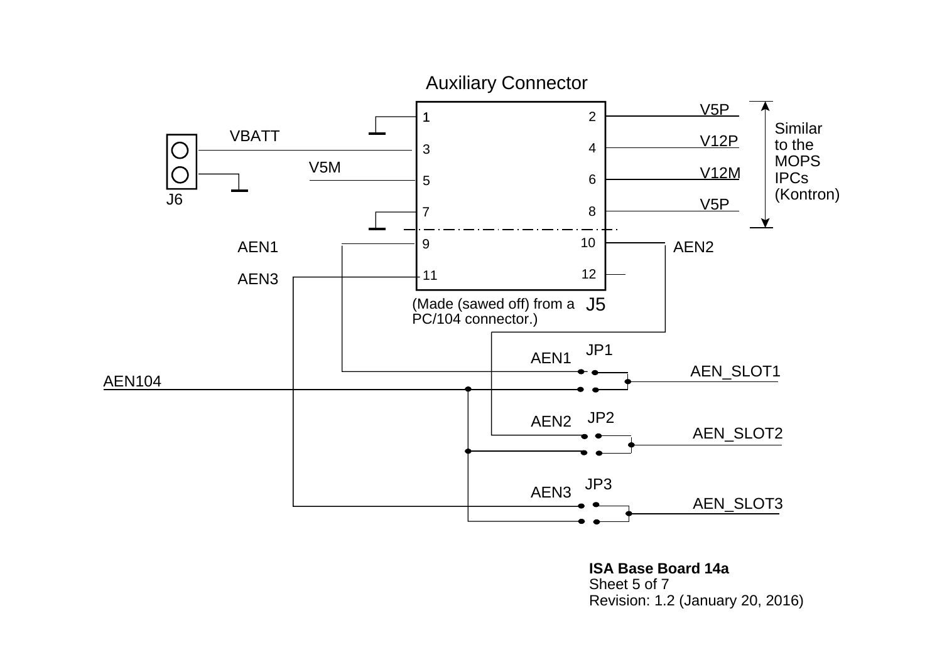

**ISA Base Board 14a**Sheet 5 of 7Revision: 1.2 (January 20, 2016)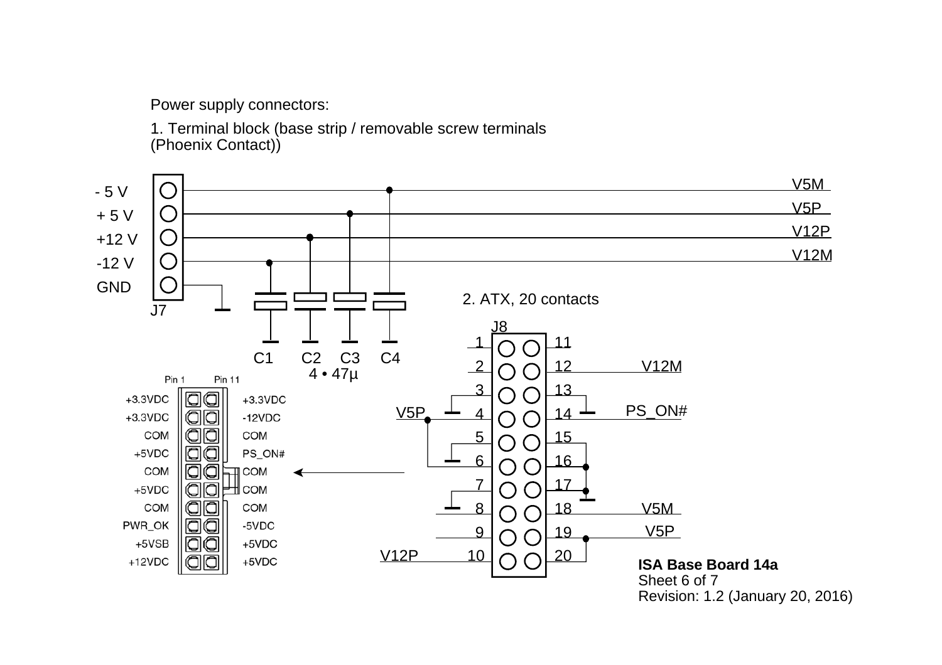Power supply connectors:

1. Terminal block (base strip / removable screw terminals (Phoenix Contact))